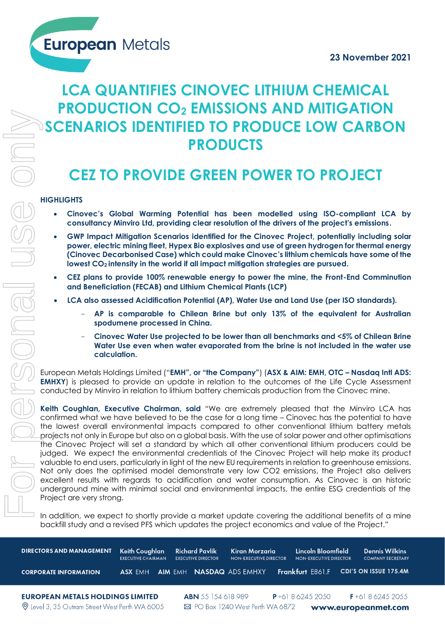**European Metals** 

# **LCA QUANTIFIES CINOVEC LITHIUM CHEMICAL PRODUCTION CO<sup>2</sup> EMISSIONS AND MITIGATION SCENARIOS IDENTIFIED TO PRODUCE LOW CARBON PRODUCTS**

# **CEZ TO PROVIDE GREEN POWER TO PROJECT**

### **HIGHLIGHTS**

- **Cinovec's Global Warming Potential has been modelled using ISO-compliant LCA by consultancy Minviro Ltd, providing clear resolution of the drivers of the project's emissions.**
- **GWP Impact Mitigation Scenarios identified for the Cinovec Project, potentially including solar power, electric mining fleet, Hypex Bio explosives and use of green hydrogen for thermal energy (Cinovec Decarbonised Case) which could make Cinovec's lithium chemicals have some of the lowest CO2 intensity in the world if all impact mitigation strategies are pursued.**
- **CEZ plans to provide 100% renewable energy to power the mine, the Front-End Comminution and Beneficiation (FECAB) and Lithium Chemical Plants (LCP)**
- **LCA also assessed Acidification Potential (AP), Water Use and Land Use (per ISO standards).** 
	- **AP is comparable to Chilean Brine but only 13% of the equivalent for Australian spodumene processed in China.**
	- **Cinovec Water Use projected to be lower than all benchmarks and <5% of Chilean Brine Water Use even when water evaporated from the brine is not included in the water use calculation.**

European Metals Holdings Limited ("**EMH", or "the Company"**) (**ASX & AIM: EMH, OTC – Nasdaq Intl ADS: EMHXY**) is pleased to provide an update in relation to the outcomes of the Life Cycle Assessment conducted by Minviro in relation to lithium battery chemicals production from the Cinovec mine.

**Keith Coughlan, Executive Chairman, said** "We are extremely pleased that the Minviro LCA has confirmed what we have believed to be the case for a long time – Cinovec has the potential to have the lowest overall environmental impacts compared to other conventional lithium battery metals projects not only in Europe but also on a global basis. With the use of solar power and other optimisations the Cinovec Project will set a standard by which all other conventional lithium producers could be judged. We expect the environmental credentials of the Cinovec Project will help make its product valuable to end users, particularly in light of the new EU requirements in relation to greenhouse emissions. Not only does the optimised model demonstrate very low CO2 emissions, the Project also delivers excellent results with regards to acidification and water consumption. As Cinovec is an historic underground mine with minimal social and environmental impacts, the entire ESG credentials of the Project are very strong. **IN addition of a minimization of a minimization of a minimization of a minimization of a minimization of a minimization of a minimization of a minimization of a minimization of a minimization of a minimization of a minim** 

backfill study and a revised PFS which updates the project economics and value of the Project."

| <b>DIRECTORS AND MANAGEMENT</b><br><b>CORPORATE INFORMATION</b>                                  | Keith Coughlan<br><b>EXECUTIVE CHAIRMAN</b><br><b>AIM EMH</b><br>ASX EMH | <b>Richard Pavlik</b><br><b>EXECUTIVE DIRECTOR</b> | Kiran Morzaria<br><b>NON-EXECUTIVE DIRECTOR</b><br><b>NASDAQ ADS EMHXY</b> | Lincoln Bloomfield<br><b>NON-EXECUTIVE DIRECTOR</b><br><b>Frankfurt E861.F</b> | <b>Dennis Wilkins</b><br><b>COMPANY SECRETARY</b><br>CDI'S ON ISSUE 175.4M |
|--------------------------------------------------------------------------------------------------|--------------------------------------------------------------------------|----------------------------------------------------|----------------------------------------------------------------------------|--------------------------------------------------------------------------------|----------------------------------------------------------------------------|
| <b>EUROPEAN METALS HOLDINGS LIMITED</b><br><b>Q</b> Level 3, 35 Outram Street West Perth WA 6005 |                                                                          | <b>ABN</b> 55 154 618 989                          | $\boxtimes$ PO Box 1240 West Perth WA 6872                                 | $P + 61862452050$                                                              | $F+61862452055$<br>www.europeanmet.com                                     |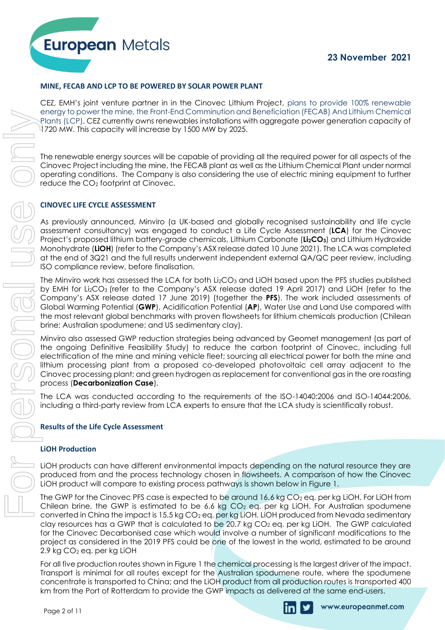#### **MINE, FECAB AND LCP TO BE POWERED BY SOLAR POWER PLANT**

CEZ, EMH's joint venture partner in in the Cinovec Lithium Project, plans to provide 100% renewable energy to power the mine, the Front-End Comminution and Beneficiation (FECAB) And Lithium Chemical Plants (LCP). CEZ currently owns renewables installations with aggregate power generation capacity of 1720 MW. This capacity will increase by 1500 MW by 2025.

The renewable energy sources will be capable of providing all the required power for all aspects of the Cinovec Project including the mine, the FECAB plant as well as the Lithium Chemical Plant under normal operating conditions. The Company is also considering the use of electric mining equipment to further reduce the CO<sup>2</sup> footprint at Cinovec.

#### **CINOVEC LIFE CYCLE ASSESSMENT**

**European Metals** 

As previously announced, Minviro (a UK-based and globally recognised sustainability and life cycle assessment consultancy) was engaged to conduct a Life Cycle Assessment (**LCA**) for the Cinovec Project's proposed lithium battery-grade chemicals, Lithium Carbonate (**Li2CO3**) and Lithium Hydroxide Monohydrate (**LiOH**) (refer to the Company's ASX release dated 10 June 2021). The LCA was completed at the end of 3Q21 and the full results underwent independent external QA/QC peer review, including ISO compliance review, before finalisation.

The Minviro work has assessed the LCA for both  $Li<sub>2</sub>CO<sub>3</sub>$  and LiOH based upon the PFS studies published by EMH for Li2CO<sup>3</sup> (refer to the Company's ASX release dated 19 April 2017) and LiOH (refer to the Company's ASX release dated 17 June 2019) (together the **PFS**). The work included assessments of Global Warming Potential (**GWP**), Acidification Potential (**AP**), Water Use and Land Use compared with the most relevant global benchmarks with proven flowsheets for lithium chemicals production (Chilean brine; Australian spodumene; and US sedimentary clay).

Minviro also assessed GWP reduction strategies being advanced by Geomet management (as part of the ongoing Definitive Feasibility Study) to reduce the carbon footprint of Cinovec, including full electrification of the mine and mining vehicle fleet; sourcing all electrical power for both the mine and lithium processing plant from a proposed co-developed photovoltaic cell array adjacent to the Cinovec processing plant; and green hydrogen as replacement for conventional gas in the ore roasting process (**Decarbonization Case**).

The LCA was conducted according to the requirements of the ISO-14040:2006 and ISO-14044:2006, including a third-party review from LCA experts to ensure that the LCA study is scientifically robust.

#### **Results of the Life Cycle Assessment**

#### **LiOH Production**

LiOH products can have different environmental impacts depending on the natural resource they are produced from and the process technology chosen in flowsheets. A comparison of how the Cínovec LiOH product will compare to existing process pathways is shown below in Figure 1.

The GWP for the Cinovec PFS case is expected to be around  $16.6$  kg CO<sub>2</sub> eq. per kg LiOH. For LiOH from Chilean brine, the GWP is estimated to be 6.6 kg  $CO<sub>2</sub>$  eq. per kg LiOH. For Australian spodumene converted in China the impact is 15.5 kg CO<sub>2</sub> eq. per kg LiOH. LiOH produced from Nevada sedimentary clay resources has a GWP that is calculated to be 20.7 kg  $CO<sub>2</sub>$  eq. per kg LiOH. The GWP calculated for the Cinovec Decarbonised case which would involve a number of significant modifications to the project as considered in the 2019 PFS could be one of the lowest in the world, estimated to be around 2.9 kg CO<sup>2</sup> eq. per kg LiOH km from the CWP in the CWP in the CWP interest.<br>
The three words are provide the Port of CWP interest.<br>
The three words as the port of the CWP impacts as delivered at the same end-users. The three words are the CWP impacts

For all five production routes shown in Figure 1 the chemical processing is the largest driver of the impact. Transport is minimal for all routes except for the Australian spodumene route, where the spodumene concentrate is transported to China; and the LiOH product from all production routes is transported 400

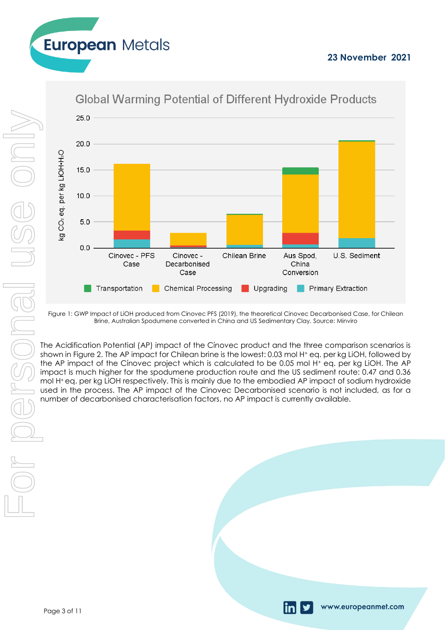www.europeanmet.com



# **Global Warming Potential of Different Hydroxide Products**

**European Metals** 



Figure 1: GWP Impact of LiOH produced from Cinovec PFS (2019), the theoretical Cinovec Decarbonised Case, for Chilean Brine, Australian Spodumene converted in China and US Sedimentary Clay. Source: Minviro

The Acidification Potential (AP) impact of the Cínovec product and the three comparison scenarios is shown in Figure 2. The AP impact for Chilean brine is the lowest: 0.03 mol H<sup>+</sup> eq. per kg LiOH, followed by the AP impact of the Cínovec project which is calculated to be 0.05 mol H<sup>+</sup> eq. per kg LiOH. The AP impact is much higher for the spodumene production route and the US sediment route: 0.47 and 0.36 mol H+ eq. per kg LiOH respectively. This is mainly due to the embodied AP impact of sodium hydroxide used in the process. The AP impact of the Cinovec Decarbonised scenario is not included, as for a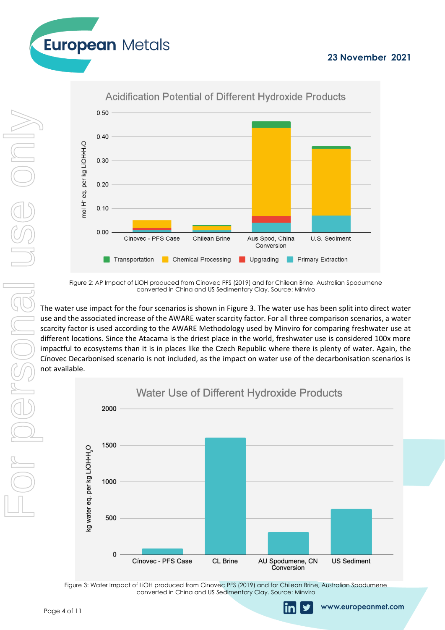www.europeanmet.com





Figure 2: AP Impact of LiOH produced from Cinovec PFS (2019) and for Chilean Brine, Australian Spodumene converted in China and US Sedimentary Clay. Source: Minviro

The water use impact for the four scenarios is shown in Figure 3. The water use has been split into direct water use and the associated increase of the AWARE water scarcity factor. For all three comparison scenarios, a water scarcity factor is used according to the AWARE Methodology used by Minviro for comparing freshwater use at different locations. Since the Atacama is the driest place in the world, freshwater use is considered 100x more impactful to ecosystems than it is in places like the Czech Republic where there is plenty of water. Again, the Cínovec Decarbonised scenario is not included, as the impact on water use of the decarbonisation scenarios is not available.



Figure 3: Water Impact of LiOH produced from Cinovec PFS (2019) and for Chilean Brine, Australian Spodumene converted in China and US Sedimentary Clay. Source: Minviro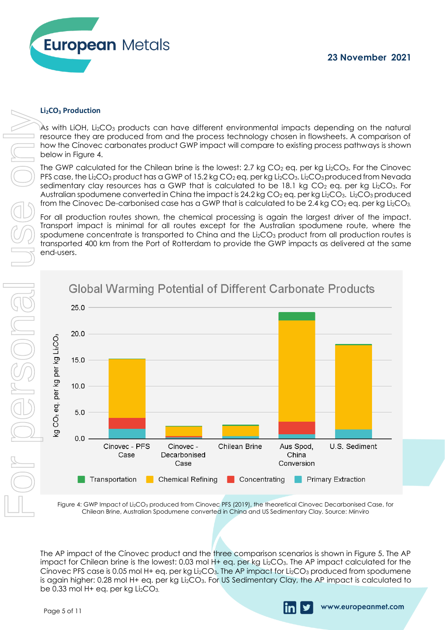

#### **Li2CO<sup>3</sup> Production**

 $\mathsf{A}s$  with LiOH, Li $_{2}$ CO $_{3}$  products can have different environmental impacts depending on the natural resource they are produced from and the process technology chosen in flowsheets. A comparison of how the Cínovec carbonates product GWP impact will compare to existing process pathways is shown below in Figure 4.

The GWP calculated for the Chilean brine is the lowest: 2.7 kg  $CO<sub>2</sub>$  eq. per kg Li<sub>2</sub>CO<sub>3</sub>. For the Cinovec PFS case, the Li<sub>2</sub>CO<sub>3</sub> product has a GWP of 15.2 kg CO<sub>2</sub> eq. per kg Li<sub>2</sub>CO<sub>3</sub>. Li<sub>2</sub>CO<sub>3</sub> produced from Nevada sedimentary clay resources has a GWP that is calculated to be 18.1 kg  $CO<sub>2</sub>$  eq. per kg Li<sub>2</sub>CO<sub>3</sub>. For Australian spodumene converted in China the impact is 24.2 kg  $CO<sub>2</sub>$ eg. per kg Li<sub>2</sub>CO<sub>3</sub>. Li<sub>2</sub>CO<sub>3</sub> produced from the Cinovec De-carbonised case has a GWP that is calculated to be 2.4 kg  $CO<sub>2</sub>$  eq. per kg Li<sub>2</sub>CO<sub>3</sub>.

For all production routes shown, the chemical processing is again the largest driver of the impact. Transport impact is minimal for all routes except for the Australian spodumene route, where the spodumene concentrate is transported to China and the Li<sub>2</sub>CO<sub>3</sub> product from all production routes is transported 400 km from the Port of Rotterdam to provide the GWP impacts as delivered at the same end-users.



Figure 4: GWP Impact of Li<sub>2</sub>CO<sub>3</sub> produced from Cinovec PFS (2019), the theoretical Cinovec Decarbonised Case, for Chilean Brine, Australian Spodumene converted in China and US Sedimentary Clay. Source: Minviro

The AP impact of the Cínovec product and the three comparison scenarios is shown in Figure 5. The AP impact for Chilean brine is the lowest: 0.03 mol H+ eq. per kg Li2CO3. The AP impact calculated for the Cínovec PFS case is 0.05 mol H+ eq. per kg Li<sub>2</sub>CO<sub>3</sub>. The AP impact for Li<sub>2</sub>CO<sub>3</sub> produced from spodumene is again higher: 0.28 mol H+ eq. per kg Li2CO3. For US Sedimentary Clay, the AP impact is calculated to

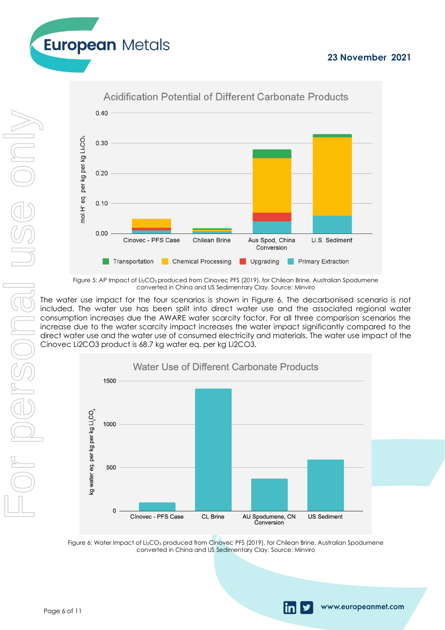www.europeanmet.com





Figure 5: AP Impact of Li<sub>2</sub>CO<sub>3</sub> produced from Cinovec PFS (2019), for Chilean Brine, Australian Spodumene converted in China and US Sedimentary Clay. Source: Minviro

The water use impact for the four scenarios is shown in Figure 6. The decarbonised scenario is not included. The water use has been split into direct water use and the associated regional water consumption increases due the AWARE water scarcity factor. For all three comparison scenarios the increase due to the water scarcity impact increases the water impact significantly compared to the direct water use and the water use of consumed electricity and materials. The water use impact of the Cinovec Li2CO3 product is 68.7 kg water eq. per kg Li2CO3.



Figure 6: Water Impact of Li<sub>2</sub>CO<sub>3</sub> produced from Cinovec PFS (2019), for Chilean Brine, Australian Spodumene converted in China and US Sedimentary Clay. Source: Minviro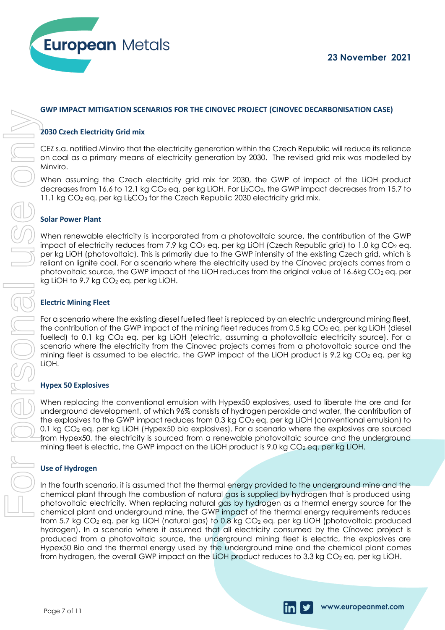

www.europeanmet.com

#### **GWP IMPACT MITIGATION SCENARIOS FOR THE CINOVEC PROJECT (CINOVEC DECARBONISATION CASE)**

#### **2030 Czech Electricity Grid mix**

CEZ s.a. notified Minviro that the electricity generation within the Czech Republic will reduce its reliance on coal as a primary means of electricity generation by 2030. The revised grid mix was modelled by Minviro.

When assuming the Czech electricity grid mix for 2030, the GWP of impact of the LiOH product decreases from 16.6 to 12.1 kg CO<sub>2</sub> eq. per kg LiOH. For Li<sub>2</sub>CO<sub>3</sub>, the GWP impact decreases from 15.7 to 11.1 kg CO<sub>2</sub> eq. per kg Li<sub>2</sub>CO<sub>3</sub> for the Czech Republic 2030 electricity grid mix.

#### **Solar Power Plant**

When renewable electricity is incorporated from a photovoltaic source, the contribution of the GWP impact of electricity reduces from 7.9 kg  $CO<sub>2</sub>$  eg. per kg LiOH (Czech Republic grid) to 1.0 kg  $CO<sub>2</sub>$  eg. per kg LiOH (photovoltaic). This is primarily due to the GWP intensity of the existing Czech grid, which is reliant on lignite coal. For a scenario where the electricity used by the Cínovec projects comes from a photovoltaic source, the GWP impact of the LiOH reduces from the original value of 16.6kg  $CO<sub>2</sub>$  eq. per kg LiOH to 9.7 kg  $CO<sub>2</sub>$  eq. per kg LiOH.

#### **Electric Mining Fleet**

For a scenario where the existing diesel fuelled fleet is replaced by an electric underground mining fleet, the contribution of the GWP impact of the mining fleet reduces from 0.5 kg CO<sub>2</sub> eq. per kg LiOH (diesel fuelled) to 0.1 kg CO<sub>2</sub> eq. per kg LiOH (electric, assuming a photovoltaic electricity source). For a scenario where the electricity from the Cínovec projects comes from a photovoltaic source and the mining fleet is assumed to be electric, the GWP impact of the LiOH product is 9.2 kg  $CO<sub>2</sub>$  eq. per kg LiOH.

#### **Hypex 50 Explosives**

When replacing the conventional emulsion with Hypex50 explosives, used to liberate the ore and for underground development, of which 96% consists of hydrogen peroxide and water, the contribution of the explosives to the GWP impact reduces from 0.3 kg  $CO<sub>2</sub>$  eq. per kg LiOH (conventional emulsion) to 0.1 kg CO<sup>2</sup> eq. per kg LiOH (Hypex50 bio explosives). For a scenario where the explosives are sourced from Hypex50, the electricity is sourced from a renewable photovoltaic source and the underground mining fleet is electric, the GWP impact on the LiOH product is 9.0 kg CO $_2$  eq. per kg LiOH.

#### **Use of Hydrogen**

In the fourth scenario, it is assumed that the thermal energy provided to the underground mine and the chemical plant through the combustion of natural gas is supplied by hydrogen that is produced using photovoltaic electricity. When replacing natural gas by hydrogen as a thermal energy source for the chemical plant and underground mine, the GWP impact of the thermal energy requirements reduces from 5.7 kg CO<sub>2</sub> eq. per kg LiOH (natural gas) to 0.8 kg CO<sub>2</sub> eq. per kg LiOH (photovoltaic produced hydrogen). In a scenario where it assumed that all electricity consumed by the Cínovec project is produced from a photovoltaic source, the underground mining fleet is electric, the explosives are Hypex50 Bio and the thermal energy used by the underground mine and the chemical plant comes From the cost of the overall GWP impact on the state of the state of the overall GWP inpact on the CWP inpact of the CWP inpact of the CWP inpact of the CWP inpact of the CWP inpact of the CWP inpact of the CWP inpact of t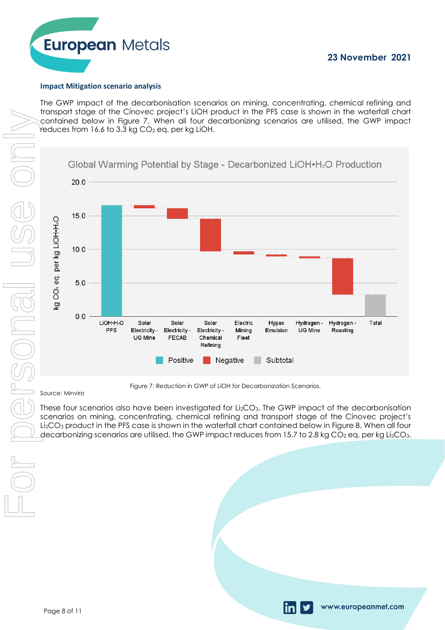

www.europeanmet.com

#### **Impact Mitigation scenario analysis**

The GWP impact of the decarbonisation scenarios on mining, concentrating, chemical refining and transport stage of the Cínovec project's LiOH product in the PFS case is shown in the waterfall chart contained below in Figure 7. When all four decarbonizing scenarios are utilised, the GWP impact  $r$ educes from 16.6 to 3.3 kg CO<sub>2</sub> eg. per kg LiOH.

Source: Minviro



Figure 7: Reduction in GWP of LiOH for Decarbonization Scenarios.

These four scenarios also have been investigated for Li<sub>2</sub>CO<sub>3</sub>. The GWP impact of the decarbonisation scenarios on mining, concentrating, chemical refining and transport stage of the Cínovec project's Li2CO<sup>3</sup> product in the PFS case is shown in the waterfall chart contained below in Figure 8. When all four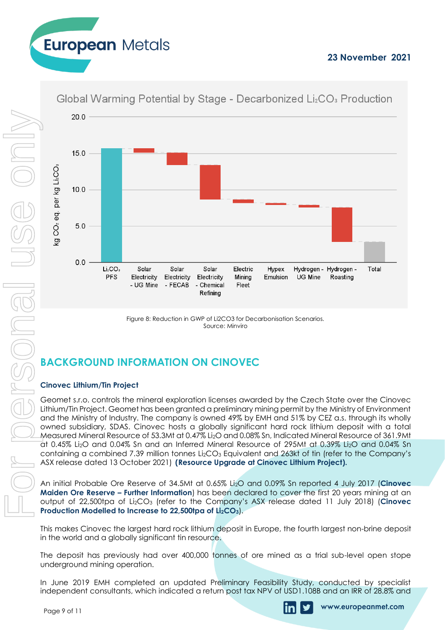

Figure 8: Reduction in GWP of Li2CO3 for Decarbonisation Scenarios. Source: Minviro

# **BACKGROUND INFORMATION ON CINOVEC**

### **Cinovec Lithium/Tin Project**

**European Metals** 

Geomet s.r.o. controls the mineral exploration licenses awarded by the Czech State over the Cinovec Lithium/Tin Project. Geomet has been granted a preliminary mining permit by the Ministry of Environment and the Ministry of Industry. The company is owned 49% by EMH and 51% by CEZ a.s. through its wholly owned subsidiary, SDAS. Cinovec hosts a globally significant hard rock lithium deposit with a total Measured Mineral Resource of 53.3Mt at 0.47% Li2O and 0.08% Sn, Indicated Mineral Resource of 361.9Mt at 0.45% Li2O and 0.04% Sn and an Inferred Mineral Resource of 295Mt at 0.39% Li2O and 0.04% Sn containing a combined 7.39 million tonnes Li<sub>2</sub>CO<sub>3</sub> Equivalent and 263kt of tin (refer to the Company's ASX release dated 13 October 2021) **(Resource Upgrade at Cinovec Lithium Project).**

An initial Probable Ore Reserve of 34.5Mt at 0.65% Li2O and 0.09% Sn reported 4 July 2017 (**Cinovec Maiden Ore Reserve – Further Information**) has been declared to cover the first 20 years mining at an output of 22,500tpa of Li2CO<sup>3</sup> (refer to the Company's ASX release dated 11 July 2018) (**Cinovec Production Modelled to Increase to 22,500tpa of Li2CO3**).

This makes Cinovec the largest hard rock lithium deposit in Europe, the fourth largest non-brine deposit in the world and a globally significant tin resource.

The deposit has previously had over 400,000 tonnes of ore mined as a trial sub-level open stope underground mining operation.

In June 2019 EMH completed an updated Preliminary Feasibility Study, conducted by specialist

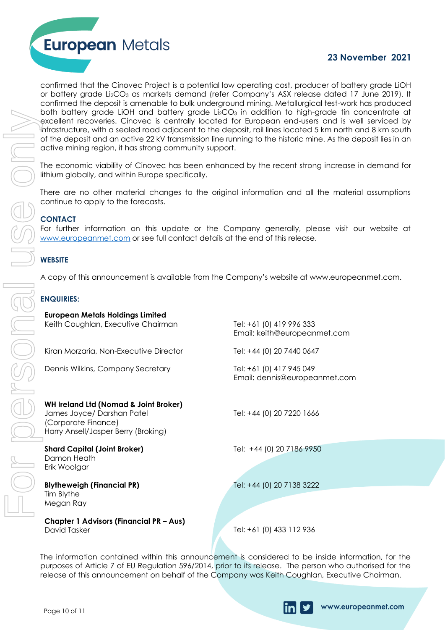

confirmed that the Cinovec Project is a potential low operating cost, producer of battery grade LiOH or battery grade Li<sub>2</sub>CO<sub>3</sub> as markets demand (refer Company's ASX release dated 17 June 2019). It confirmed the deposit is amenable to bulk underground mining. Metallurgical test-work has produced both battery grade LiOH and battery grade Li $_{2}CO_{3}$  in addition to high-grade tin concentrate at excellent recoveries. Cinovec is centrally located for European end-users and is well serviced by infrastructure, with a sealed road adjacent to the deposit, rail lines located 5 km north and 8 km south of the deposit and an active 22 kV transmission line running to the historic mine. As the deposit lies in an active mining region, it has strong community support.

### **CONTACT**

### **WEBSITE**

#### **ENQUIRIES:**

| active mining region, it has strong community support.                                                                                                                                     | both battery grade LiOH and battery grade Li2CO3 in addition to high-grade tin concentrate<br>excellent recoveries. Cinovec is centrally located for European end-users and is well serviced<br>infrastructure, with a sealed road adjacent to the deposit, rail lines located 5 km north and 8 km so<br>of the deposit and an active 22 kV transmission line running to the historic mine. As the deposit lies in |  |  |  |
|--------------------------------------------------------------------------------------------------------------------------------------------------------------------------------------------|--------------------------------------------------------------------------------------------------------------------------------------------------------------------------------------------------------------------------------------------------------------------------------------------------------------------------------------------------------------------------------------------------------------------|--|--|--|
| The economic viability of Cinovec has been enhanced by the recent strong increase in demand<br>lithium globally, and within Europe specifically.                                           |                                                                                                                                                                                                                                                                                                                                                                                                                    |  |  |  |
| There are no other material changes to the original information and all the material assumption<br>continue to apply to the forecasts.                                                     |                                                                                                                                                                                                                                                                                                                                                                                                                    |  |  |  |
| <b>CONTACT</b><br>For further information on this update or the Company generally, please visit our website<br>www.europeanmet.com or see full contact details at the end of this release. |                                                                                                                                                                                                                                                                                                                                                                                                                    |  |  |  |
| <b>WEBSITE</b>                                                                                                                                                                             |                                                                                                                                                                                                                                                                                                                                                                                                                    |  |  |  |
|                                                                                                                                                                                            | A copy of this announcement is available from the Company's website at www.europeanmet.com                                                                                                                                                                                                                                                                                                                         |  |  |  |
| <b>ENQUIRIES:</b>                                                                                                                                                                          |                                                                                                                                                                                                                                                                                                                                                                                                                    |  |  |  |
| <b>European Metals Holdings Limited</b><br>Keith Coughlan, Executive Chairman                                                                                                              | Tel: +61 (0) 419 996 333<br>Email: keith@europeanmet.com                                                                                                                                                                                                                                                                                                                                                           |  |  |  |
| Kiran Morzaria, Non-Executive Director                                                                                                                                                     | Tel: +44 (0) 20 7440 0647                                                                                                                                                                                                                                                                                                                                                                                          |  |  |  |
| Dennis Wilkins, Company Secretary                                                                                                                                                          | Tel: +61 (0) 417 945 049<br>Email: dennis@europeanmet.com                                                                                                                                                                                                                                                                                                                                                          |  |  |  |
| <b>WH Ireland Ltd (Nomad &amp; Joint Broker)</b><br>James Joyce/ Darshan Patel<br>(Corporate Finance)<br>Harry Ansell/Jasper Berry (Broking)                                               | Tel: +44 (0) 20 7220 1666                                                                                                                                                                                                                                                                                                                                                                                          |  |  |  |
| <b>Shard Capital (Joint Broker)</b><br>Damon Heath<br>Erik Woolgar                                                                                                                         | Tel: +44 (0) 20 7186 9950                                                                                                                                                                                                                                                                                                                                                                                          |  |  |  |
| <b>Blytheweigh (Financial PR)</b><br>Tim Blythe<br>Megan Ray                                                                                                                               | Tel: +44 (0) 20 7138 3222                                                                                                                                                                                                                                                                                                                                                                                          |  |  |  |
| <b>Chapter 1 Advisors (Financial PR - Aus)</b><br>David Tasker                                                                                                                             | Tel: +61 (0) 433 112 936                                                                                                                                                                                                                                                                                                                                                                                           |  |  |  |
|                                                                                                                                                                                            | The information contained within this announcement is considered to be inside information, for t<br>purposes of Article 7 of EU Regulation 596/2014, prior to its release. The person who authorised for t<br>release of this announcement on behalf of the Company was Keith Coughlan, Executive Chairman.                                                                                                        |  |  |  |

The information contained within this announcement is considered to be inside information, for the purposes of Article 7 of EU Regulation 596/2014, prior to its release. The person who authorised for the